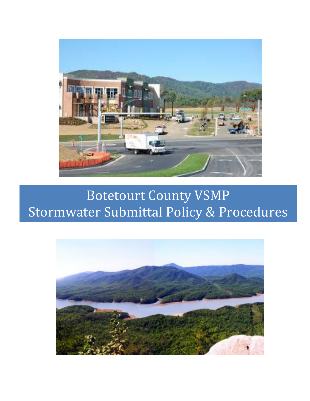

# Botetourt County VSMP Stormwater Submittal Policy & Procedures

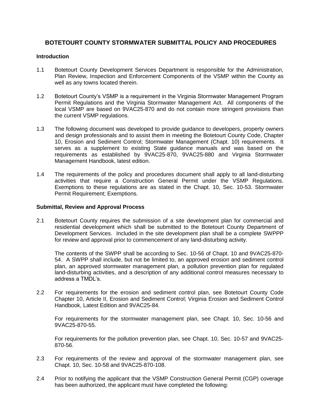# **BOTETOURT COUNTY STORMWATER SUBMITTAL POLICY AND PROCEDURES**

#### **Introduction**

- 1.1 Botetourt County Development Services Department is responsible for the Administration, Plan Review, Inspection and Enforcement Components of the VSMP within the County as well as any towns located therein.
- 1.2 Botetourt County's VSMP is a requirement in the Virginia Stormwater Management Program Permit Regulations and the Virginia Stormwater Management Act. All components of the local VSMP are based on 9VAC25-870 and do not contain more stringent provisions than the current VSMP regulations.
- 1.3 The following document was developed to provide guidance to developers, property owners and design professionals and to assist them in meeting the Botetourt County Code, Chapter 10, Erosion and Sediment Control; Stormwater Management (Chapt. 10) requirements. It serves as a supplement to existing State guidance manuals and was based on the requirements as established by 9VAC25-870, 9VAC25-880 and Virginia Stormwater Management Handbook, latest edition.
- 1.4 The requirements of the policy and procedures document shall apply to all land-disturbing activities that require a Construction General Permit under the VSMP Regulations. Exemptions to these regulations are as stated in the Chapt. 10, Sec. 10-53. Stormwater Permit Requirement; Exemptions.

#### **Submittal, Review and Approval Process**

2.1 Botetourt County requires the submission of a site development plan for commercial and residential development which shall be submitted to the Botetourt County Department of Development Services. Included in the site development plan shall be a complete SWPPP for review and approval prior to commencement of any land-disturbing activity.

The contents of the SWPP shall be according to Sec. 10-56 of Chapt. 10 and 9VAC25-870- 54. A SWPP shall include, but not be limited to, an approved erosion and sediment control plan, an approved stormwater management plan, a pollution prevention plan for regulated land-disturbing activities, and a description of any additional control measures necessary to address a TMDL's.

2.2 For requirements for the erosion and sediment control plan, see Botetourt County Code Chapter 10, Article II, Erosion and Sediment Control; Virginia Erosion and Sediment Control Handbook, Latest Edition and 9VAC25-84.

For requirements for the stormwater management plan, see Chapt. 10, Sec. 10-56 and 9VAC25-870-55.

For requirements for the pollution prevention plan, see Chapt. 10, Sec. 10-57 and 9VAC25- 870-56.

- 2.3 For requirements of the review and approval of the stormwater management plan, see Chapt. 10, Sec. 10-58 and 9VAC25-870-108.
- 2.4 Prior to notifying the applicant that the VSMP Construction General Permit (CGP) coverage has been authorized, the applicant must have completed the following: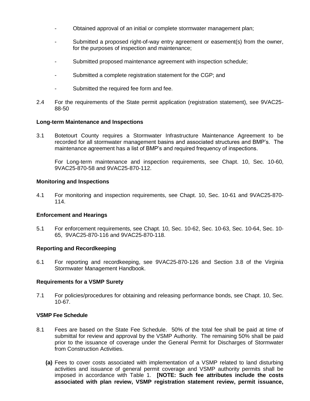- Obtained approval of an initial or complete stormwater management plan;
- Submitted a proposed right-of-way entry agreement or easement(s) from the owner, for the purposes of inspection and maintenance;
- Submitted proposed maintenance agreement with inspection schedule;
- Submitted a complete registration statement for the CGP; and
- Submitted the required fee form and fee.
- 2.4 For the requirements of the State permit application (registration statement), see 9VAC25- 88-50

#### **Long-term Maintenance and Inspections**

3.1 Botetourt County requires a Stormwater Infrastructure Maintenance Agreement to be recorded for all stormwater management basins and associated structures and BMP's. The maintenance agreement has a list of BMP's and required frequency of inspections.

For Long-term maintenance and inspection requirements, see Chapt. 10, Sec. 10-60, 9VAC25-870-58 and 9VAC25-870-112.

#### **Monitoring and Inspections**

4.1 For monitoring and inspection requirements, see Chapt. 10, Sec. 10-61 and 9VAC25-870- 114.

#### **Enforcement and Hearings**

5.1 For enforcement requirements, see Chapt. 10, Sec. 10-62, Sec. 10-63, Sec. 10-64, Sec. 10- 65, 9VAC25-870-116 and 9VAC25-870-118.

#### **Reporting and Recordkeeping**

6.1 For reporting and recordkeeping, see 9VAC25-870-126 and Section 3.8 of the Virginia Stormwater Management Handbook.

### **Requirements for a VSMP Surety**

7.1 For policies/procedures for obtaining and releasing performance bonds, see Chapt. 10, Sec. 10-67.

#### **VSMP Fee Schedule**

- 8.1 Fees are based on the State Fee Schedule. 50% of the total fee shall be paid at time of submittal for review and approval by the VSMP Authority. The remaining 50% shall be paid prior to the issuance of coverage under the General Permit for Discharges of Stormwater from Construction Activities.
	- **(a)** Fees to cover costs associated with implementation of a VSMP related to land disturbing activities and issuance of general permit coverage and VSMP authority permits shall be imposed in accordance with Table 1. **[NOTE: Such fee attributes include the costs associated with plan review, VSMP registration statement review, permit issuance,**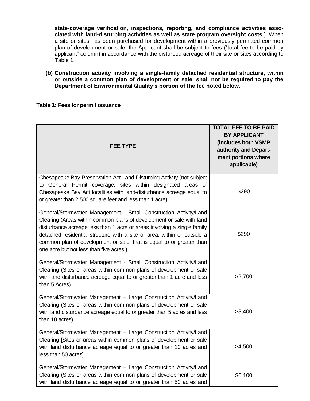**state-coverage verification, inspections, reporting, and compliance activities associated with land-disturbing activities as well as state program oversight costs.]** When a site or sites has been purchased for development within a previously permitted common plan of development or sale, the Applicant shall be subject to fees ("total fee to be paid by applicant" column) in accordance with the disturbed acreage of their site or sites according to Table 1.

**(b) Construction activity involving a single-family detached residential structure, within or outside a common plan of development or sale, shall not be required to pay the Department of Environmental Quality's portion of the fee noted below.**

#### **Table 1: Fees for permit issuance**

| <b>FEE TYPE</b>                                                                                                                                                                                                                                                                                                                                                                                                   | <b>TOTAL FEE TO BE PAID</b><br><b>BY APPLICANT</b><br>(includes both VSMP<br>authority and Depart-<br>ment portions where<br>applicable) |
|-------------------------------------------------------------------------------------------------------------------------------------------------------------------------------------------------------------------------------------------------------------------------------------------------------------------------------------------------------------------------------------------------------------------|------------------------------------------------------------------------------------------------------------------------------------------|
| Chesapeake Bay Preservation Act Land-Disturbing Activity (not subject<br>to General Permit coverage; sites within designated areas of<br>Chesapeake Bay Act localities with land-disturbance acreage equal to<br>or greater than 2,500 square feet and less than 1 acre)                                                                                                                                          | \$290                                                                                                                                    |
| General/Stormwater Management - Small Construction Activity/Land<br>Clearing (Areas within common plans of development or sale with land<br>disturbance acreage less than 1 acre or areas involving a single family<br>detached residential structure with a site or area, within or outside a<br>common plan of development or sale, that is equal to or greater than<br>one acre but not less than five acres.) | \$290                                                                                                                                    |
| General/Stormwater Management - Small Construction Activity/Land<br>Clearing (Sites or areas within common plans of development or sale<br>with land disturbance acreage equal to or greater than 1 acre and less<br>than 5 Acres)                                                                                                                                                                                | \$2,700                                                                                                                                  |
| General/Stormwater Management - Large Construction Activity/Land<br>Clearing (Sites or areas within common plans of development or sale<br>with land disturbance acreage equal to or greater than 5 acres and less<br>than 10 acres)                                                                                                                                                                              | \$3,400                                                                                                                                  |
| General/Stormwater Management - Large Construction Activity/Land<br>Clearing [Sites or areas within common plans of development or sale<br>with land disturbance acreage equal to or greater than 10 acres and<br>less than 50 acres]                                                                                                                                                                             | \$4,500                                                                                                                                  |
| General/Stormwater Management - Large Construction Activity/Land<br>Clearing (Sites or areas within common plans of development or sale<br>with land disturbance acreage equal to or greater than 50 acres and                                                                                                                                                                                                    | \$6,100                                                                                                                                  |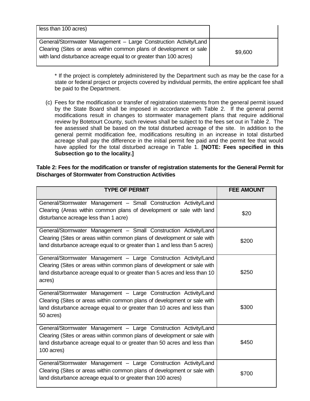| less than 100 acres)                                                                                                                                                                                         |         |
|--------------------------------------------------------------------------------------------------------------------------------------------------------------------------------------------------------------|---------|
| General/Stormwater Management - Large Construction Activity/Land<br>Clearing (Sites or areas within common plans of development or sale<br>with land disturbance acreage equal to or greater than 100 acres) | \$9,600 |

\* If the project is completely administered by the Department such as may be the case for a state or federal project or projects covered by individual permits, the entire applicant fee shall be paid to the Department.

(c) Fees for the modification or transfer of registration statements from the general permit issued by the State Board shall be imposed in accordance with Table 2. If the general permit modifications result in changes to stormwater management plans that require additional review by Botetourt County, such reviews shall be subject to the fees set out in Table 2. The fee assessed shall be based on the total disturbed acreage of the site. In addition to the general permit modification fee, modifications resulting in an increase in total disturbed acreage shall pay the difference in the initial permit fee paid and the permit fee that would have applied for the total disturbed acreage in Table 1. **[NOTE: Fees specified in this Subsection go to the locality.]**

## **Table 2: Fees for the modification or transfer of registration statements for the General Permit for Discharges of Stormwater from Construction Activities**

| <b>TYPE OF PERMIT</b>                                                                                                                                                                                                                  | <b>FEE AMOUNT</b> |
|----------------------------------------------------------------------------------------------------------------------------------------------------------------------------------------------------------------------------------------|-------------------|
| General/Stormwater Management - Small Construction Activity/Land<br>Clearing (Areas within common plans of development or sale with land<br>disturbance acreage less than 1 acre)                                                      | \$20              |
| General/Stormwater Management - Small Construction Activity/Land<br>Clearing (Sites or areas within common plans of development or sale with<br>land disturbance acreage equal to or greater than 1 and less than 5 acres)             | \$200             |
| General/Stormwater Management - Large Construction Activity/Land<br>Clearing (Sites or areas within common plans of development or sale with<br>land disturbance acreage equal to or greater than 5 acres and less than 10<br>acres)   | \$250             |
| General/Stormwater Management - Large Construction Activity/Land<br>Clearing (Sites or areas within common plans of development or sale with<br>land disturbance acreage equal to or greater than 10 acres and less than<br>50 acres)  | \$300             |
| General/Stormwater Management - Large Construction Activity/Land<br>Clearing (Sites or areas within common plans of development or sale with<br>land disturbance acreage equal to or greater than 50 acres and less than<br>100 acres) | \$450             |
| General/Stormwater Management - Large Construction Activity/Land<br>Clearing (Sites or areas within common plans of development or sale with<br>land disturbance acreage equal to or greater than 100 acres)                           | \$700             |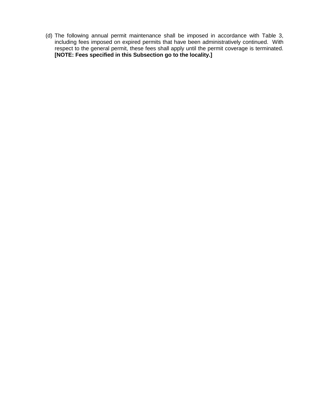(d) The following annual permit maintenance shall be imposed in accordance with Table 3, including fees imposed on expired permits that have been administratively continued. With respect to the general permit, these fees shall apply until the permit coverage is terminated. **[NOTE: Fees specified in this Subsection go to the locality.]**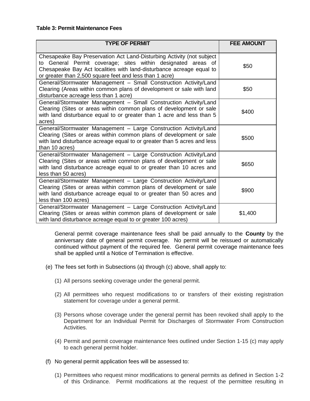#### **Table 3: Permit Maintenance Fees**

| <b>TYPE OF PERMIT</b>                                                                                                                                                                                                                                                    | <b>FEE AMOUNT</b> |
|--------------------------------------------------------------------------------------------------------------------------------------------------------------------------------------------------------------------------------------------------------------------------|-------------------|
| Chesapeake Bay Preservation Act Land-Disturbing Activity (not subject<br>to General Permit coverage; sites within designated areas of<br>Chesapeake Bay Act localities with land-disturbance acreage equal to<br>or greater than 2,500 square feet and less than 1 acre) | \$50              |
| General/Stormwater Management - Small Construction Activity/Land<br>Clearing (Areas within common plans of development or sale with land<br>disturbance acreage less than 1 acre)                                                                                        | \$50              |
| General/Stormwater Management - Small Construction Activity/Land<br>Clearing (Sites or areas within common plans of development or sale<br>with land disturbance equal to or greater than 1 acre and less than 5<br>acres)                                               | \$400             |
| General/Stormwater Management - Large Construction Activity/Land<br>Clearing (Sites or areas within common plans of development or sale<br>with land disturbance acreage equal to or greater than 5 acres and less<br>than 10 acres)                                     | \$500             |
| General/Stormwater Management - Large Construction Activity/Land<br>Clearing (Sites or areas within common plans of development or sale<br>with land disturbance acreage equal to or greater than 10 acres and<br>less than 50 acres)                                    | \$650             |
| General/Stormwater Management - Large Construction Activity/Land<br>Clearing (Sites or areas within common plans of development or sale<br>with land disturbance acreage equal to or greater than 50 acres and<br>less than 100 acres)                                   | \$900             |
| General/Stormwater Management - Large Construction Activity/Land<br>Clearing (Sites or areas within common plans of development or sale<br>with land disturbance acreage equal to or greater 100 acres)                                                                  | \$1,400           |

General permit coverage maintenance fees shall be paid annually to the **County** by the anniversary date of general permit coverage. No permit will be reissued or automatically continued without payment of the required fee. General permit coverage maintenance fees shall be applied until a Notice of Termination is effective.

- (e) The fees set forth in Subsections (a) through (c) above, shall apply to:
	- (1) All persons seeking coverage under the general permit.
	- (2) All permittees who request modifications to or transfers of their existing registration statement for coverage under a general permit.
	- (3) Persons whose coverage under the general permit has been revoked shall apply to the Department for an Individual Permit for Discharges of Stormwater From Construction Activities.
	- (4) Permit and permit coverage maintenance fees outlined under Section 1-15 (c) may apply to each general permit holder.
- (f) No general permit application fees will be assessed to:
	- (1) Permittees who request minor modifications to general permits as defined in Section 1-2 of this Ordinance. Permit modifications at the request of the permittee resulting in